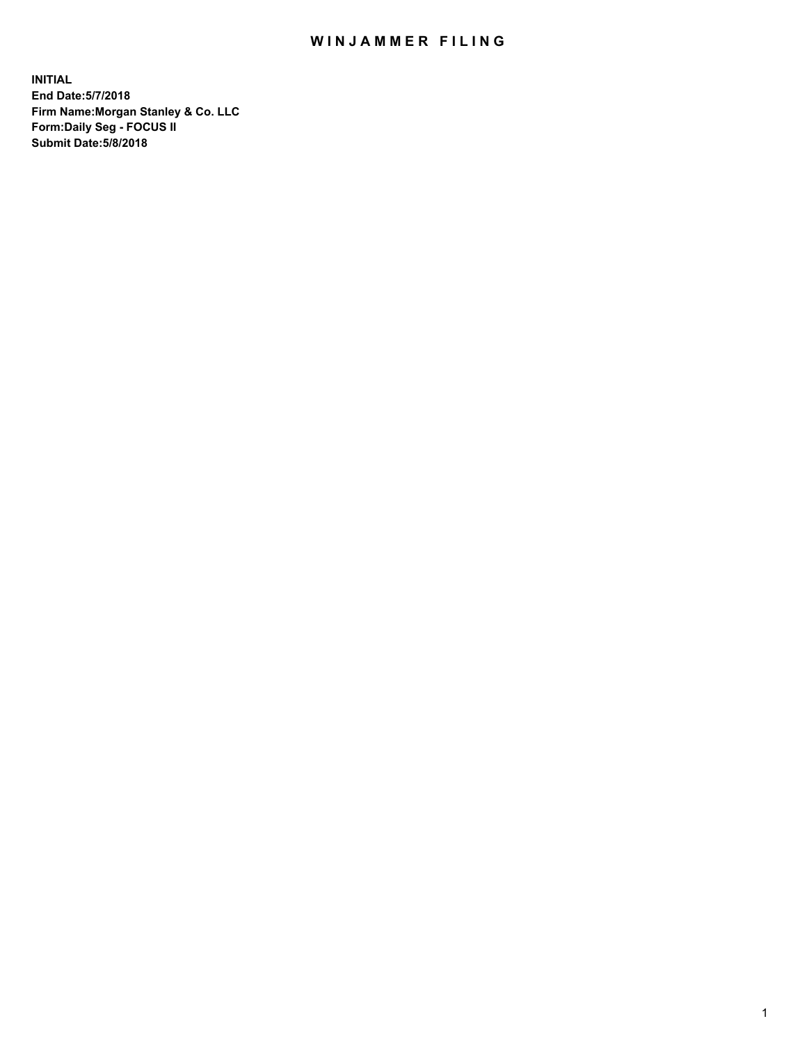## WIN JAMMER FILING

**INITIAL End Date:5/7/2018 Firm Name:Morgan Stanley & Co. LLC Form:Daily Seg - FOCUS II Submit Date:5/8/2018**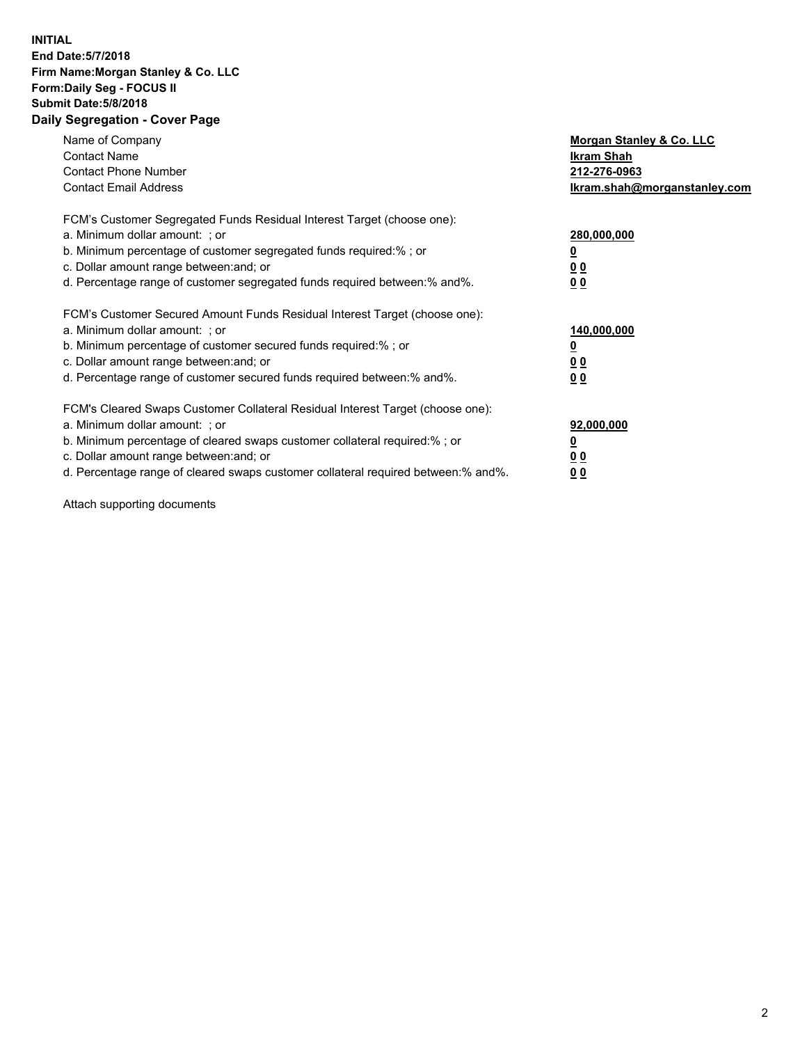## **INITIAL End Date:5/7/2018 Firm Name:Morgan Stanley & Co. LLC Form:Daily Seg - FOCUS II Submit Date:5/8/2018 Daily Segregation - Cover Page**

| Name of Company<br><b>Contact Name</b><br><b>Contact Phone Number</b><br><b>Contact Email Address</b>                                                                                                                                                                                                                          | Morgan Stanley & Co. LLC<br>Ikram Shah<br>212-276-0963<br>lkram.shah@morganstanley.com |
|--------------------------------------------------------------------------------------------------------------------------------------------------------------------------------------------------------------------------------------------------------------------------------------------------------------------------------|----------------------------------------------------------------------------------------|
| FCM's Customer Segregated Funds Residual Interest Target (choose one):<br>a. Minimum dollar amount: ; or<br>b. Minimum percentage of customer segregated funds required:%; or<br>c. Dollar amount range between: and; or<br>d. Percentage range of customer segregated funds required between: % and %.                        | 280,000,000<br>0 <sub>0</sub><br>00                                                    |
| FCM's Customer Secured Amount Funds Residual Interest Target (choose one):<br>a. Minimum dollar amount: ; or<br>b. Minimum percentage of customer secured funds required:%; or<br>c. Dollar amount range between: and; or<br>d. Percentage range of customer secured funds required between:% and%.                            | 140,000,000<br>0 <sub>0</sub><br>0 <sub>0</sub>                                        |
| FCM's Cleared Swaps Customer Collateral Residual Interest Target (choose one):<br>a. Minimum dollar amount: ; or<br>b. Minimum percentage of cleared swaps customer collateral required:% ; or<br>c. Dollar amount range between: and; or<br>d. Percentage range of cleared swaps customer collateral required between:% and%. | 92,000,000<br>0 <sub>0</sub><br>0 <sub>0</sub>                                         |

Attach supporting documents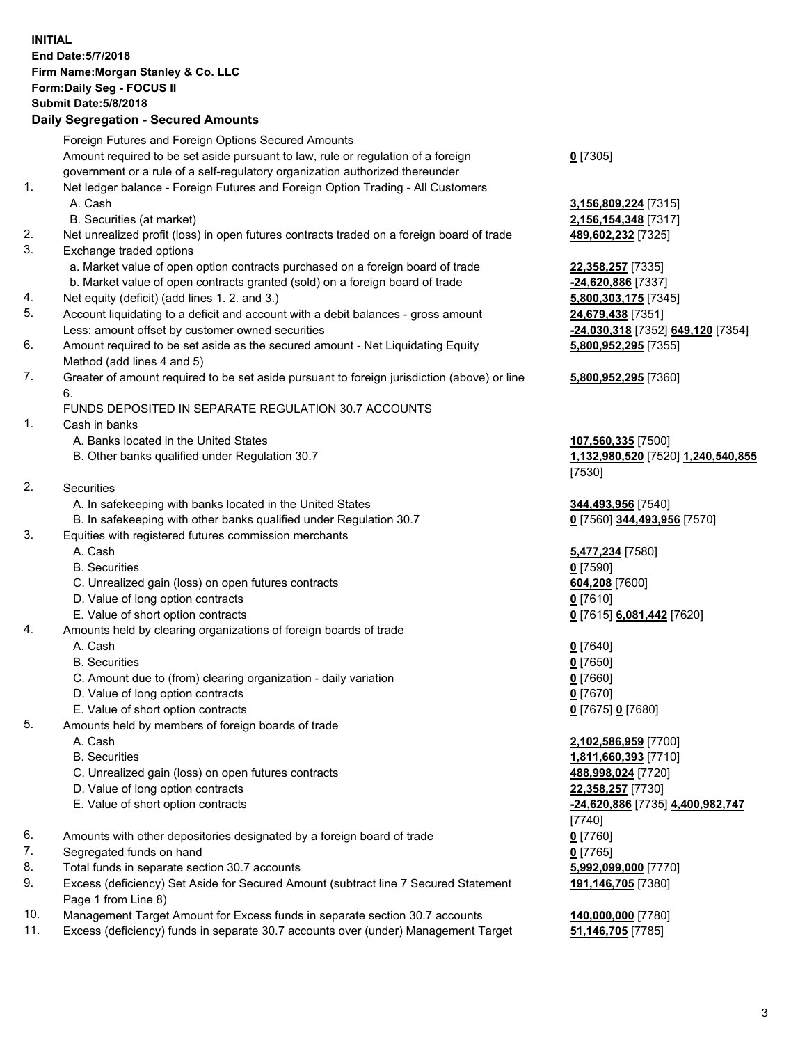## **INITIAL End Date:5/7/2018 Firm Name:Morgan Stanley & Co. LLC Form:Daily Seg - FOCUS II Submit Date:5/8/2018**

**Daily Segregation - Secured Amounts** Foreign Futures and Foreign Options Secured Amounts Amount required to be set aside pursuant to law, rule or regulation of a foreign government or a rule of a self-regulatory organization authorized thereunder 1. Net ledger balance - Foreign Futures and Foreign Option Trading - All Customers A. Cash **3,156,809,224** [7315] B. Securities (at market) **2,156,154,348** [7317] 2. Net unrealized profit (loss) in open futures contracts traded on a foreign board of trade **489,602,232** [7325] 3. Exchange traded options a. Market value of open option contracts purchased on a foreign board of trade **22,358,257** [7335] b. Market value of open contracts granted (sold) on a foreign board of trade **-24,620,886** [7337] 4. Net equity (deficit) (add lines 1. 2. and 3.) **5,800,303,175** [7345] 5. Account liquidating to a deficit and account with a debit balances - gross amount **24,679,438** [7351] Less: amount offset by customer owned securities **-24,030,318** [7352] **649,120** [7354] 6. Amount required to be set aside as the secured amount - Net Liquidating Equity Method (add lines 4 and 5) 7. Greater of amount required to be set aside pursuant to foreign jurisdiction (above) or line 6. FUNDS DEPOSITED IN SEPARATE REGULATION 30.7 ACCOUNTS 1. Cash in banks A. Banks located in the United States **107,560,335** [7500] B. Other banks qualified under Regulation 30.7 **1,132,980,520** [7520] **1,240,540,855** 2. Securities A. In safekeeping with banks located in the United States **344,493,956** [7540] B. In safekeeping with other banks qualified under Regulation 30.7 **0** [7560] **344,493,956** [7570] 3. Equities with registered futures commission merchants A. Cash **5,477,234** [7580] B. Securities **0** [7590] C. Unrealized gain (loss) on open futures contracts **604,208** [7600] D. Value of long option contracts **0** [7610] E. Value of short option contracts **0** [7615] **6,081,442** [7620] 4. Amounts held by clearing organizations of foreign boards of trade A. Cash **0** [7640] B. Securities **0** [7650] C. Amount due to (from) clearing organization - daily variation **0** [7660] D. Value of long option contracts **0** [7670]

- 
- 5. Amounts held by members of foreign boards of trade
	-
	-
	- C. Unrealized gain (loss) on open futures contracts **488,998,024** [7720]
	- D. Value of long option contracts **22,358,257** [7730]
	-
- 6. Amounts with other depositories designated by a foreign board of trade **0** [7760]
- 7. Segregated funds on hand **0** [7765]
- 8. Total funds in separate section 30.7 accounts **5,992,099,000** [7770]
- 9. Excess (deficiency) Set Aside for Secured Amount (subtract line 7 Secured Statement Page 1 from Line 8)
- 10. Management Target Amount for Excess funds in separate section 30.7 accounts **140,000,000** [7780]
- 11. Excess (deficiency) funds in separate 30.7 accounts over (under) Management Target **51,146,705** [7785]

**0** [7305]

**5,800,952,295** [7355]

## **5,800,952,295** [7360]

[7530]

E. Value of short option contracts **0** [7675] **0** [7680]

 A. Cash **2,102,586,959** [7700] B. Securities **1,811,660,393** [7710] E. Value of short option contracts **-24,620,886** [7735] **4,400,982,747** [7740] **191,146,705** [7380]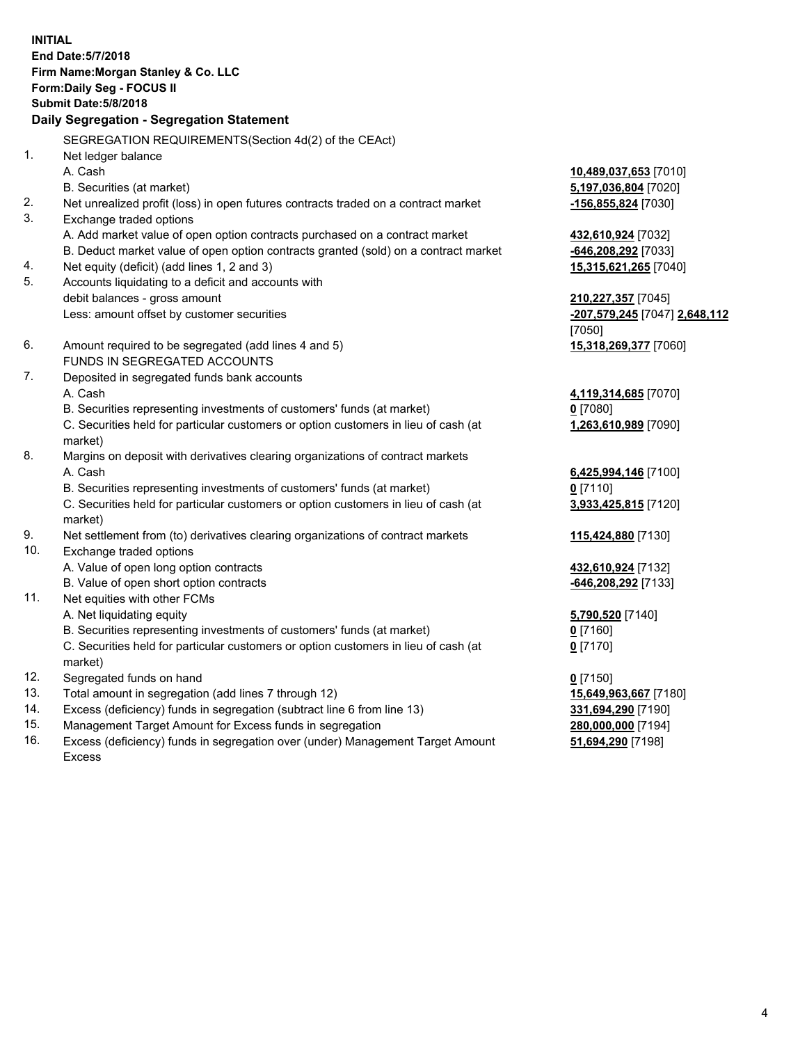**INITIAL End Date:5/7/2018 Firm Name:Morgan Stanley & Co. LLC Form:Daily Seg - FOCUS II Submit Date:5/8/2018 Daily Segregation - Segregation Statement** SEGREGATION REQUIREMENTS(Section 4d(2) of the CEAct) 1. Net ledger balance A. Cash **10,489,037,653** [7010] B. Securities (at market) **5,197,036,804** [7020] 2. Net unrealized profit (loss) in open futures contracts traded on a contract market **-156,855,824** [7030] 3. Exchange traded options A. Add market value of open option contracts purchased on a contract market **432,610,924** [7032] B. Deduct market value of open option contracts granted (sold) on a contract market **-646,208,292** [7033] 4. Net equity (deficit) (add lines 1, 2 and 3) **15,315,621,265** [7040] 5. Accounts liquidating to a deficit and accounts with debit balances - gross amount **210,227,357** [7045] Less: amount offset by customer securities **-207,579,245** [7047] **2,648,112** [7050] 6. Amount required to be segregated (add lines 4 and 5) **15,318,269,377** [7060] FUNDS IN SEGREGATED ACCOUNTS 7. Deposited in segregated funds bank accounts A. Cash **4,119,314,685** [7070] B. Securities representing investments of customers' funds (at market) **0** [7080] C. Securities held for particular customers or option customers in lieu of cash (at market) **1,263,610,989** [7090] 8. Margins on deposit with derivatives clearing organizations of contract markets A. Cash **6,425,994,146** [7100] B. Securities representing investments of customers' funds (at market) **0** [7110] C. Securities held for particular customers or option customers in lieu of cash (at market) **3,933,425,815** [7120] 9. Net settlement from (to) derivatives clearing organizations of contract markets **115,424,880** [7130] 10. Exchange traded options A. Value of open long option contracts **432,610,924** [7132] B. Value of open short option contracts **-646,208,292** [7133] 11. Net equities with other FCMs A. Net liquidating equity **5,790,520** [7140] B. Securities representing investments of customers' funds (at market) **0** [7160] C. Securities held for particular customers or option customers in lieu of cash (at market) **0** [7170] 12. Segregated funds on hand **0** [7150] 13. Total amount in segregation (add lines 7 through 12) **15,649,963,667** [7180] 14. Excess (deficiency) funds in segregation (subtract line 6 from line 13) **331,694,290** [7190]

- 15. Management Target Amount for Excess funds in segregation **280,000,000** [7194]
- 16. Excess (deficiency) funds in segregation over (under) Management Target Amount Excess

**51,694,290** [7198]